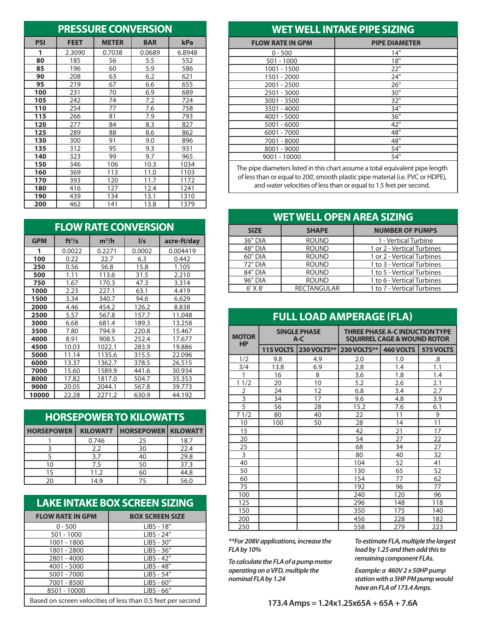|            |             | <b>PRESSURE CONVERSION</b> |            |        |  |  |
|------------|-------------|----------------------------|------------|--------|--|--|
| <b>PSI</b> | <b>FEET</b> | <b>METER</b>               | <b>BAR</b> | kPa    |  |  |
| 1          | 2.3090      | 0.7038                     | 0.0689     | 6.8948 |  |  |
| 80         | 185         | 56                         | 5.5        | 552    |  |  |
| 85         | 196         | 60                         | 5.9        | 586    |  |  |
| 90         | 208         | 63                         | 6.2        | 621    |  |  |
| 95         | 219         | 67                         | 6.6        | 655    |  |  |
| 100        | 231         | 70                         | 6.9        | 689    |  |  |
| 105        | 242         | 74                         | 7.2        | 724    |  |  |
| 110        | 254         | 77                         | 7.6        | 758    |  |  |
| 115        | 266         | 81                         | 7.9        | 793    |  |  |
| 120        | 277         | 84                         | 8.3        | 827    |  |  |
| 125        | 289         | 88                         | 8.6        | 862    |  |  |
| 130        | 300         | 91                         | 9.0        | 896    |  |  |
| 135        | 312         | 95                         | 9.3        | 931    |  |  |
| 140        | 323         | 99                         | 9.7        | 965    |  |  |
| 150        | 346         | 106                        | 10.3       | 1034   |  |  |
| 160        | 369         | 113                        | 11.0       | 1103   |  |  |
| 170        | 393         | 120                        | 11.7       | 1172   |  |  |
| 180        | 416         | 127                        | 12.4       | 1241   |  |  |
| 190        | 439         | 134                        | 13.1       | 1310   |  |  |
| 200        | 462         | 141                        | 13.8       | 1379   |  |  |

|            |               | <b>FLOW RATE CONVERSION</b> |               |             |  |  |  |  |
|------------|---------------|-----------------------------|---------------|-------------|--|--|--|--|
| <b>GPM</b> | $ft^3/s$      | $m^3/h$                     | $\frac{1}{s}$ | acre-ft/day |  |  |  |  |
| 1          | 0.0022        | 0.2271                      | 0.0002        | 0.004419    |  |  |  |  |
| 100        | 0.22          | 22.7                        | 6.3           | 0.442       |  |  |  |  |
| 250        | 0.56          | 56.8                        | 15.8          | 1.105       |  |  |  |  |
| 500        | 1.11          | 113.6                       | 31.5          | 2.210       |  |  |  |  |
| 750        | 1.67          | 170.3                       | 47.3          | 3.314       |  |  |  |  |
| 1000       | 2.23          | 227.1                       | 63.1          | 4.419       |  |  |  |  |
| 1500       | 3.34          | 340.7                       | 94.6          | 6.629       |  |  |  |  |
| 2000       | 4.46          | 454.2                       | 126.2         | 8.838       |  |  |  |  |
| 2500       | 5.57<br>567.8 |                             | 157.7         | 11.048      |  |  |  |  |
| 3000       | 681.4<br>6.68 |                             | 189.3         | 13.258      |  |  |  |  |
| 3500       | 7.80          | 794.9                       | 220.8         | 15.467      |  |  |  |  |
| 4000       | 8.91          | 908.5                       | 252.4         | 17.677      |  |  |  |  |
| 4500       | 10.03         | 1022.1                      | 283.9         | 19.886      |  |  |  |  |
| 5000       | 11.14         | 1135.6                      | 315.5         | 22.096      |  |  |  |  |
| 6000       | 13.37         | 1362.7                      | 378.5         | 26.515      |  |  |  |  |
| 7000       | 15.60         | 1589.9                      | 441.6         | 30.934      |  |  |  |  |
| 8000       | 17.82         | 1817.0                      | 504.7         | 35.353      |  |  |  |  |
| 9000       | 20.05         | 2044.1                      | 567.8         | 39.773      |  |  |  |  |
| 10000      | 22.28         | 2271.2                      | 630.9         | 44.192      |  |  |  |  |

## **HORSEPOWER TO KILOWATTS**

| <b>HORSEPOWER</b> | <b>KILOWATT</b> | <b>HORSEPOWER KILOWATT</b> |      |  |  |  |
|-------------------|-----------------|----------------------------|------|--|--|--|
|                   | 0.746           | 25                         | 18.7 |  |  |  |
|                   | 2.2             | 30                         | 22.4 |  |  |  |
|                   | 3.7             | 40                         | 29.8 |  |  |  |
| 10                | 7.5             | 50                         | 37.3 |  |  |  |
| 15                | 11.2            | 60                         | 44.8 |  |  |  |
| 14.9<br>20        |                 | 75                         | 56.0 |  |  |  |

# **LAKE INTAKE BOX SCREEN SIZING**

| <b>FLOW RATE IN GPM</b> | <b>BOX SCREEN SIZE</b>                                      |
|-------------------------|-------------------------------------------------------------|
| $0 - 500$               | $LIBS - 18"$                                                |
| $501 - 1000$            | LIBS - 24"                                                  |
| 1001 - 1800             | LIBS - 30"                                                  |
| 1801 - 2800             | LIBS - 36"                                                  |
| 2801 - 4000             | $LIBS - 42"$                                                |
| 4001 - 5000             | LIBS - 48"                                                  |
| $5001 - 7000$           | LIBS - 54"                                                  |
| 7001 - 8500             | $LIBS - 60"$                                                |
| 8501 - 10000            | LIBS - 66"                                                  |
|                         | Based on screen velocities of less than 0.5 feet per second |

### **WET WELL INTAKE PIPE SIZING**

| <b>FLOW RATE IN GPM</b> | <b>PIPE DIAMETER</b> |
|-------------------------|----------------------|
| $0 - 500$               | 14"                  |
| $501 - 1000$            | 18"                  |
| 1001 - 1500             | 22"                  |
| 1501 - 2000             | 24"                  |
| $2001 - 2500$           | 26"                  |
| 2501 - 3000             | 30"                  |
| 3001 - 3500             | 32"                  |
| 3501 - 4000             | 34"                  |
| 4001 - 5000             | 36"                  |
| $5001 - 6000$           | 42"                  |
| $6001 - 7000$           | 48"                  |
| 7001 - 8000             | 48"                  |
| 8001 - 9000             | 54"                  |
| 9001 - 10000            | 54"                  |
|                         |                      |

The pipe diameters listed in this chart assume a total equivalent pipe length of less than or equal to 200', smooth plastic pipe material (i.e. PVC or HDPE), and water velocities of less than or equal to 1.5 feet per second.

|                | <b>WET WELL OPEN AREA SIZING</b> |                            |  |  |  |  |  |  |  |  |  |  |
|----------------|----------------------------------|----------------------------|--|--|--|--|--|--|--|--|--|--|
| <b>SIZE</b>    | <b>SHAPE</b>                     | <b>NUMBER OF PUMPS</b>     |  |  |  |  |  |  |  |  |  |  |
| 36" DIA        | <b>ROUND</b>                     | 1 - Vertical Turbine       |  |  |  |  |  |  |  |  |  |  |
| <b>48" DIA</b> | <b>ROUND</b>                     | 1 or 2 - Vertical Turbines |  |  |  |  |  |  |  |  |  |  |
| 60" DIA        | <b>ROUND</b>                     | 1 or 2 - Vertical Turbines |  |  |  |  |  |  |  |  |  |  |
| 72" DIA        | <b>ROUND</b>                     | 1 to 3 - Vertical Turbines |  |  |  |  |  |  |  |  |  |  |
| 84" DIA        | <b>ROUND</b>                     | 1 to 5 - Vertical Turbines |  |  |  |  |  |  |  |  |  |  |
| 96" DIA        | <b>ROUND</b>                     | 1 to 6 - Vertical Turbines |  |  |  |  |  |  |  |  |  |  |
| $6'$ X $8'$    | <b>RECTANGULAR</b>               | 1 to 7 - Vertical Turbines |  |  |  |  |  |  |  |  |  |  |

#### **Full Load Amperage (FLA)**

| <b>MOTOR</b><br><b>HP</b> |           | <b>SINGLE PHASE</b><br>$A-C$ | <b>THREE PHASE A-C INDUCTION TYPE</b><br><b>SQUIRREL CAGE &amp; WOUND ROTOR</b> |           |           |  |  |  |  |  |
|---------------------------|-----------|------------------------------|---------------------------------------------------------------------------------|-----------|-----------|--|--|--|--|--|
|                           | 115 VOLTS | <b>230 VOLTS**</b>           | <b>230 VOLTS**</b>                                                              | 460 VOLTS | 575 VOLTS |  |  |  |  |  |
| 1/2                       | 9.8       | 4.9                          | 2.0                                                                             | 1.0       | .8        |  |  |  |  |  |
| 3/4                       | 13.8      | 6.9                          | 2.8                                                                             | 1.4       | 1.1       |  |  |  |  |  |
| 1                         | 16        | 8                            | 3.6                                                                             | 1.8       | 1.4       |  |  |  |  |  |
| 11/2                      | 20        | 10                           | 5.2                                                                             | 2.6       | 2.1       |  |  |  |  |  |
| $\overline{2}$            | 24        | 12                           | 6.8                                                                             | 3.4       | 2.7       |  |  |  |  |  |
| 3                         | 34        | 17                           | 9.6                                                                             | 4.8       | 3.9       |  |  |  |  |  |
| 5                         | 56<br>28  |                              | 15.2                                                                            | 7.6       | 6.1       |  |  |  |  |  |
| 71/2                      | 80<br>40  |                              | 22                                                                              | 11        | 9         |  |  |  |  |  |
| 10                        | 100       | 50                           | 28                                                                              | 14        | 11        |  |  |  |  |  |
| 15                        |           |                              | 42                                                                              | 21        | 17        |  |  |  |  |  |
| 20                        |           |                              | 54                                                                              | 27        | 22        |  |  |  |  |  |
| 25                        |           |                              | 68                                                                              | 34        | 27        |  |  |  |  |  |
| 3                         |           |                              | 80                                                                              | 40        | 32        |  |  |  |  |  |
| 40                        |           |                              | 104                                                                             | 52        | 41        |  |  |  |  |  |
| 50                        |           |                              | 130                                                                             | 65        | 52        |  |  |  |  |  |
| 60                        |           |                              | 154                                                                             | 77        | 62        |  |  |  |  |  |
| 75                        |           |                              | 192                                                                             | 96        | 77        |  |  |  |  |  |
| 100                       |           |                              | 240                                                                             | 120       | 96        |  |  |  |  |  |
| 125                       |           |                              | 296                                                                             | 148       | 118       |  |  |  |  |  |
| 150                       |           |                              | 350                                                                             | 175       | 140       |  |  |  |  |  |
| 200                       |           |                              | 456                                                                             | 228       | 182       |  |  |  |  |  |
| 250                       |           |                              | 558                                                                             | 279       | 223       |  |  |  |  |  |

*\*\*For 208V applications, increase the FLA by 10%*

*To calculate the FLA of a pump motor operating on a VFD, multiple the nominal FLA by 1.24*

*To estimate FLA, multiple the largest load by 1.25 and then add this to remaining component FLAs.*

*Example: a 460V 2 x 50HP pump station with a 5HP PM pump would have an FLA of 173.4 Amps.*